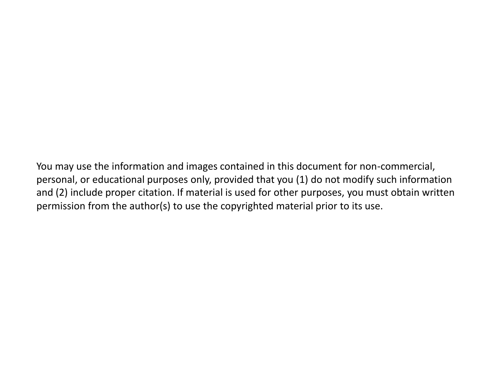You may use the information and images contained in this document for non-commercial, personal, or educational purposes only, provided that you (1) do not modify such information and (2) include proper citation. If material is used for other purposes, you must obtain written permission from the author(s) to use the copyrighted material prior to its use.